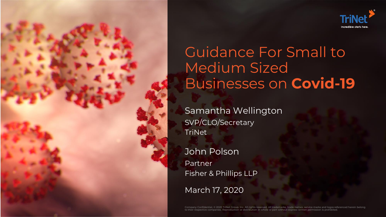



# Guidance For Small to Medium Sized Businesses on **Covid-19**

Samantha Wellington SVP/CLO/Secretary **TriNet** 

Partner Fisher & Phillips LLP John Polson

March 17, 2020

Company Confidential, © 2020 TriNet Group, Inc. All rights reserved. All trademarks, trade names, service marks and logos referenced herein belong to their respective companies. Reproduction or distribution in whole or part without express written permission is prohibited.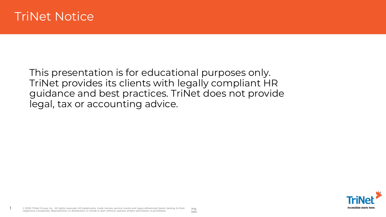This presentation is for educational purposes only. TriNet provides its clients with legally compliant HR guidance and best practices. TriNet does not provide legal, tax or accounting advice.

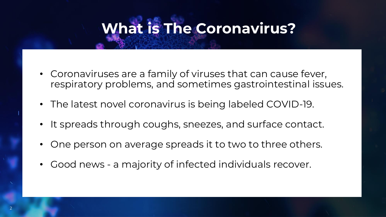# **What is The Coronavirus?**

- Coronaviruses are a family of viruses that can cause fever, respiratory problems, and sometimes gastrointestinal issues.
- The latest novel coronavirus is being labeled COVID-19.
- It spreads through coughs, sneezes, and surface contact.
- One person on average spreads it to two to three others.
- Good news a majority of infected individuals recover.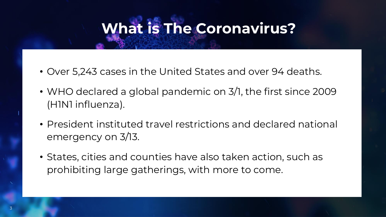# **What is The Coronavirus?**

- Over 5,243 cases in the United States and over 94 deaths.
- WHO declared a global pandemic on 3/1, the first since 2009 (H1N1 influenza).
- President instituted travel restrictions and declared national emergency on 3/13.
- States, cities and counties have also taken action, such as prohibiting large gatherings, with more to come.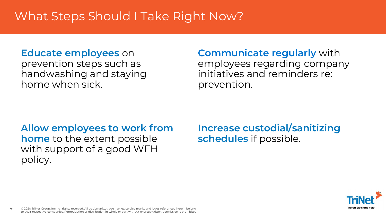# What Steps Should I Take Right Now?

#### Educate **employees** on

prevention steps such as handwashing and staying home when sick.

**Communicate regularly** with employees regarding company initiatives and reminders re: prevention.

#### **Allow employees to work from home** to the extent possible with support of a good WFH policy.

#### Increase custodial/sanitizing schedules if possible.

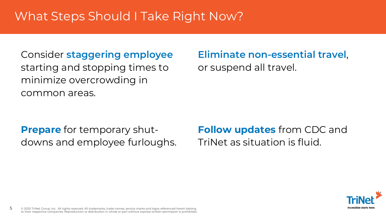# What Steps Should I Take Right Now?

Consider staggering employee starting and stopping times to minimize overcrowding in common areas.

#### Eliminate non-essential travel, or suspend all travel.

**Prepare** for temporary shutdowns and employee furloughs. **Follow updates** from CDC and TriNet as situation is fluid.

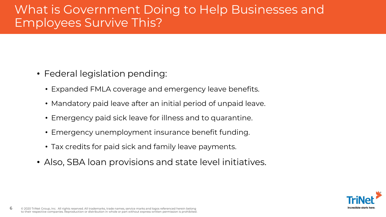### What is Government Doing to Help Businesses and Employees Survive This?

- Federal legislation pending:
	- Expanded FMLA coverage and emergency leave benefits.
	- Mandatory paid leave after an initial period of unpaid leave.
	- Emergency paid sick leave for illness and to quarantine.
	- Emergency unemployment insurance benefit funding.
	- Tax credits for paid sick and family leave payments.
- Also, SBA loan provisions and state level initiatives.

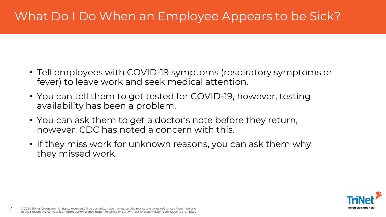# What Do I Do When an Employee Appears to be Sick?

- Tell employees with COVID-19 symptoms (respiratory symptoms or fever) to leave work and seek medical attention.
- You can tell them to get tested for COVID-19, however, testing availability has been a problem.
- You can ask them to get a doctor's note before they return, however, CDC has noted a concern with this.
- If they miss work for unknown reasons, you can ask them why they missed work.

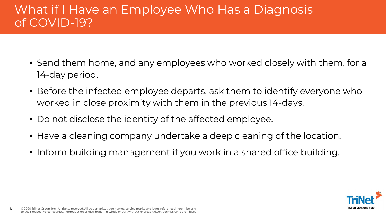# What if I Have an Employee Who Has a Diagnosis of COVID-19?

- Send them home, and any employees who worked closely with them, for a 14-day period.
- Before the infected employee departs, ask them to identify everyone who worked in close proximity with them in the previous 14-days.
- Do not disclose the identity of the affected employee.
- Have a cleaning company undertake a deep cleaning of the location.
- Inform building management if you work in a shared office building.

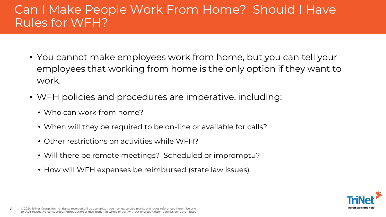### Can I Make People Work From Home? Should I Have Rules for WFH?

- You cannot make employees work from home, but you can tell your employees that working from home is the only option if they want to work.
- WFH policies and procedures are imperative, including:
	- Who can work from home?
	- When will they be required to be on-line or available for calls?
	- Other restrictions on activities while WFH?
	- Will there be remote meetings? Scheduled or impromptu?
	- How will WFH expenses be reimbursed (state law issues)

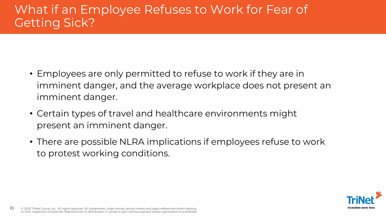# What if an Employee Refuses to Work for Fear of Getting Sick?

- Employees are only permitted to refuse to work if they are in imminent danger, and the average workplace does not present an imminent danger.
- Certain types of travel and healthcare environments might present an imminent danger.
- There are possible NLRA implications if employees refuse to work to protest working conditions.

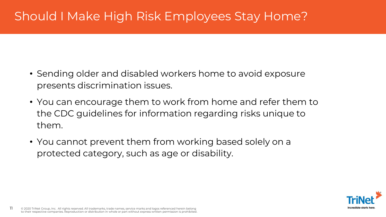# Should I Make High Risk Employees Stay Home?

- Sending older and disabled workers home to avoid exposure presents discrimination issues.
- You can encourage them to work from home and refer them to the CDC guidelines for information regarding risks unique to them.
- You cannot prevent them from working based solely on a protected category, such as age or disability.

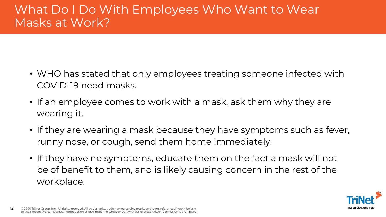## What Do I Do With Employees Who Want to Wear Masks at Work?

- WHO has stated that only employees treating someone infected with COVID-19 need masks.
- If an employee comes to work with a mask, ask them why they are wearing it.
- If they are wearing a mask because they have symptoms such as fever, runny nose, or cough, send them home immediately.
- If they have no symptoms, educate them on the fact a mask will not be of benefit to them, and is likely causing concern in the rest of the workplace.

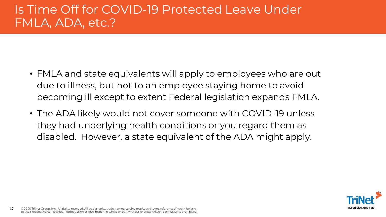# Is Time Off for COVID-19 Protected Leave Under FMLA, ADA, etc.?

- FMLA and state equivalents will apply to employees who are out due to illness, but not to an employee staying home to avoid becoming ill except to extent Federal legislation expands FMLA.
- The ADA likely would not cover someone with COVID-19 unless they had underlying health conditions or you regard them as disabled. However, a state equivalent of the ADA might apply.

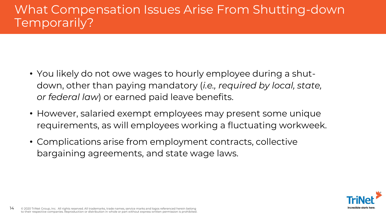# What Compensation Issues Arise From Shutting-down Temporarily?

- You likely do not owe wages to hourly employee during a shutdown, other than paying mandatory (*i.e., required by local, state, or federal law*) or earned paid leave benefits.
- However, salaried exempt employees may present some unique requirements, as will employees working a fluctuating workweek.
- Complications arise from employment contracts, collective bargaining agreements, and state wage laws.

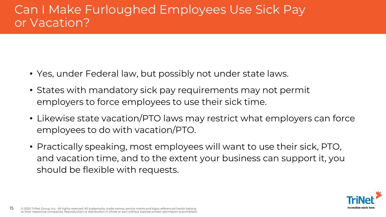- Yes, under Federal law, but possibly not under state laws.
- States with mandatory sick pay requirements may not permit employers to force employees to use their sick time.
- Likewise state vacation/PTO laws may restrict what employers can force employees to do with vacation/PTO.
- Practically speaking, most employees will want to use their sick, PTO, and vacation time, and to the extent your business can support it, you should be flexible with requests.

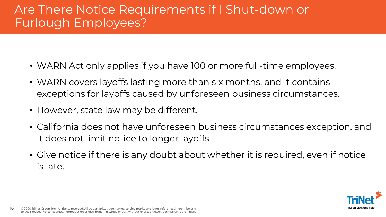# Are There Notice Requirements if I Shut-down or Furlough Employees?

- WARN Act only applies if you have 100 or more full-time employees.
- WARN covers layoffs lasting more than six months, and it contains exceptions for layoffs caused by unforeseen business circumstances.
- However, state law may be different.
- California does not have unforeseen business circumstances exception, and it does not limit notice to longer layoffs.
- Give notice if there is any doubt about whether it is required, even if notice is late.

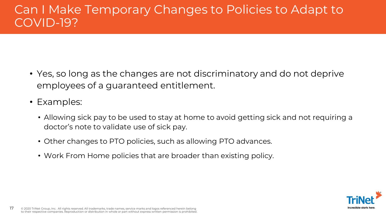### Can I Make Temporary Changes to Policies to Adapt to COVID-19?

- Yes, so long as the changes are not discriminatory and do not deprive employees of a guaranteed entitlement.
- Examples:
	- Allowing sick pay to be used to stay at home to avoid getting sick and not requiring a doctor's note to validate use of sick pay.
	- Other changes to PTO policies, such as allowing PTO advances.
	- Work From Home policies that are broader than existing policy.

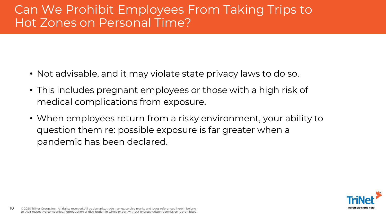## Can We Prohibit Employees From Taking Trips to Hot Zones on Personal Time?

- Not advisable, and it may violate state privacy laws to do so.
- This includes pregnant employees or those with a high risk of medical complications from exposure.
- When employees return from a risky environment, your ability to question them re: possible exposure is far greater when a pandemic has been declared.

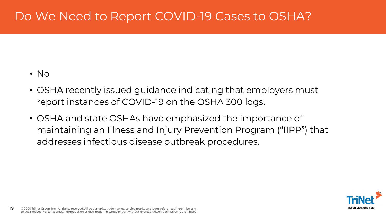# Do We Need to Report COVID-19 Cases to OSHA?

- No
- OSHA recently issued guidance indicating that employers must report instances of COVID-19 on the OSHA 300 logs.
- OSHA and state OSHAs have emphasized the importance of maintaining an Illness and Injury Prevention Program ("IIPP") that addresses infectious disease outbreak procedures.

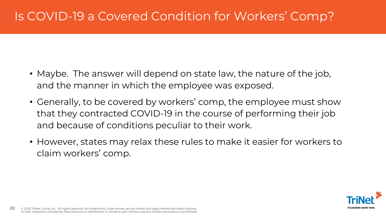# Is COVID-19 a Covered Condition for Workers' Comp?

- Maybe. The answer will depend on state law, the nature of the job, and the manner in which the employee was exposed.
- Generally, to be covered by workers' comp, the employee must show that they contracted COVID-19 in the course of performing their job and because of conditions peculiar to their work.
- However, states may relax these rules to make it easier for workers to claim workers' comp.

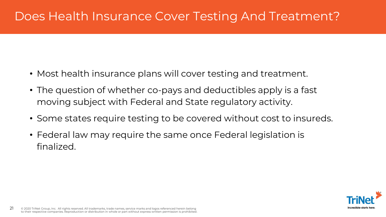# Does Health Insurance Cover Testing And Treatment?

- Most health insurance plans will cover testing and treatment.
- The question of whether co-pays and deductibles apply is a fast moving subject with Federal and State regulatory activity.
- Some states require testing to be covered without cost to insureds.
- Federal law may require the same once Federal legislation is finalized.

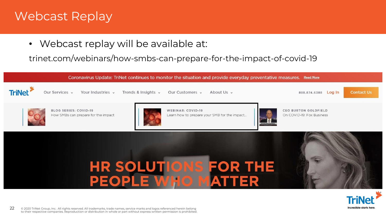## Webcast Replay

• Webcast replay will be available at:

trinet.com/webinars/how-smbs-can-prepare-for-the-impact-of-covid-19